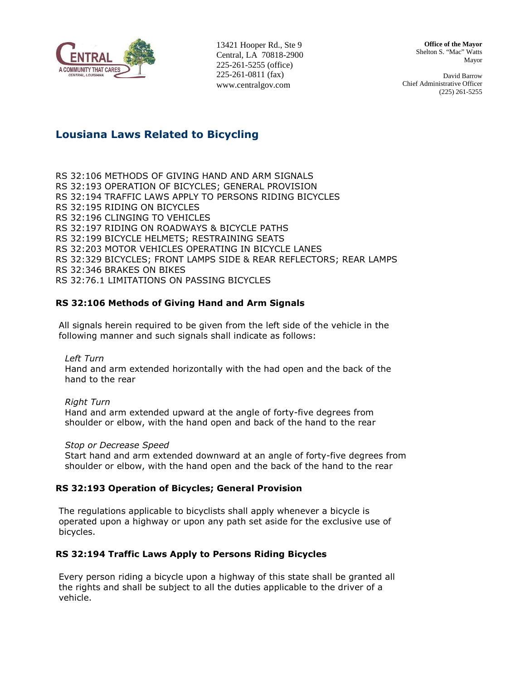

13421 Hooper Rd., Ste 9 Central, LA 70818-2900 225-261-5255 (office) 225-261-0811 (fax) www.centralgov.com

**Office of the Mayor**  Shelton S. "Mac" Watts Mayor

David Barrow Chief Administrative Officer (225) 261-5255

# Lousiana Laws Related to Bicycling

RS 32:106 METHODS OF GIVING HAND AND ARM SIGNALS RS 32:193 OPERATION OF BICYCLES; GENERAL PROVISION RS 32:194 TRAFFIC LAWS APPLY TO PERSONS RIDING BICYCLES RS 32:195 RIDING ON BICYCLES RS 32:196 CLINGING TO VEHICLES RS 32:197 RIDING ON ROADWAYS & BICYCLE PATHS RS 32:199 BICYCLE HELMETS; RESTRAINING SEATS RS 32:203 MOTOR VEHICLES OPERATING IN BICYCLE LANES RS 32:329 BICYCLES; FRONT LAMPS SIDE & REAR REFLECTORS; REAR LAMPS RS 32:346 BRAKES ON BIKES RS 32:76.1 LIMITATIONS ON PASSING BICYCLES

## RS 32:106 Methods of Giving Hand and Arm Signals

All signals herein required to be given from the left side of the vehicle in the following manner and such signals shall indicate as follows:

Left Turn

Hand and arm extended horizontally with the had open and the back of the hand to the rear

Right Turn Hand and arm extended upward at the angle of forty-five degrees from shoulder or elbow, with the hand open and back of the hand to the rear

#### Stop or Decrease Speed

Start hand and arm extended downward at an angle of forty-five degrees from shoulder or elbow, with the hand open and the back of the hand to the rear

#### RS 32:193 Operation of Bicycles; General Provision

The regulations applicable to bicyclists shall apply whenever a bicycle is operated upon a highway or upon any path set aside for the exclusive use of bicycles.

## RS 32:194 Traffic Laws Apply to Persons Riding Bicycles

Every person riding a bicycle upon a highway of this state shall be granted all the rights and shall be subject to all the duties applicable to the driver of a vehicle.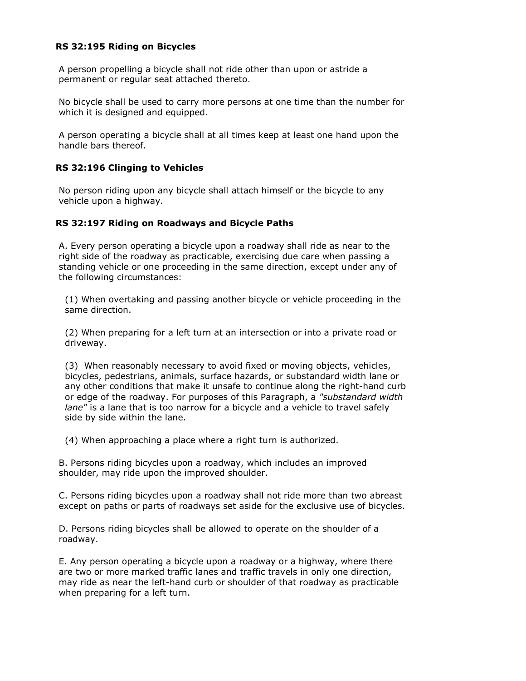### RS 32:195 Riding on Bicycles

A person propelling a bicycle shall not ride other than upon or astride a permanent or regular seat attached thereto.

No bicycle shall be used to carry more persons at one time than the number for which it is designed and equipped.

A person operating a bicycle shall at all times keep at least one hand upon the handle bars thereof.

#### RS 32:196 Clinging to Vehicles

No person riding upon any bicycle shall attach himself or the bicycle to any vehicle upon a highway.

#### RS 32:197 Riding on Roadways and Bicycle Paths

A. Every person operating a bicycle upon a roadway shall ride as near to the right side of the roadway as practicable, exercising due care when passing a standing vehicle or one proceeding in the same direction, except under any of the following circumstances:

(1) When overtaking and passing another bicycle or vehicle proceeding in the same direction.

(2) When preparing for a left turn at an intersection or into a private road or driveway.

(3) When reasonably necessary to avoid fixed or moving objects, vehicles, bicycles, pedestrians, animals, surface hazards, or substandard width lane or any other conditions that make it unsafe to continue along the right-hand curb or edge of the roadway. For purposes of this Paragraph, a "substandard width lane" is a lane that is too narrow for a bicycle and a vehicle to travel safely side by side within the lane.

(4) When approaching a place where a right turn is authorized.

B. Persons riding bicycles upon a roadway, which includes an improved shoulder, may ride upon the improved shoulder.

C. Persons riding bicycles upon a roadway shall not ride more than two abreast except on paths or parts of roadways set aside for the exclusive use of bicycles.

D. Persons riding bicycles shall be allowed to operate on the shoulder of a roadway.

E. Any person operating a bicycle upon a roadway or a highway, where there are two or more marked traffic lanes and traffic travels in only one direction, may ride as near the left-hand curb or shoulder of that roadway as practicable when preparing for a left turn.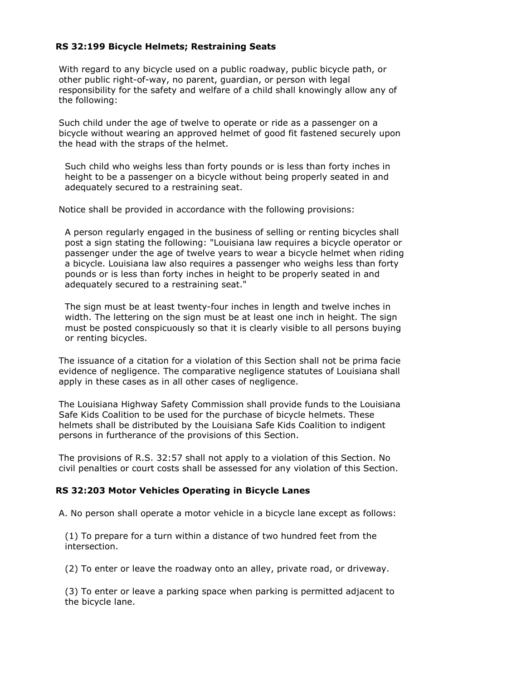### RS 32:199 Bicycle Helmets; Restraining Seats

With regard to any bicycle used on a public roadway, public bicycle path, or other public right-of-way, no parent, guardian, or person with legal responsibility for the safety and welfare of a child shall knowingly allow any of the following:

Such child under the age of twelve to operate or ride as a passenger on a bicycle without wearing an approved helmet of good fit fastened securely upon the head with the straps of the helmet.

Such child who weighs less than forty pounds or is less than forty inches in height to be a passenger on a bicycle without being properly seated in and adequately secured to a restraining seat.

Notice shall be provided in accordance with the following provisions:

A person regularly engaged in the business of selling or renting bicycles shall post a sign stating the following: "Louisiana law requires a bicycle operator or passenger under the age of twelve years to wear a bicycle helmet when riding a bicycle. Louisiana law also requires a passenger who weighs less than forty pounds or is less than forty inches in height to be properly seated in and adequately secured to a restraining seat."

The sign must be at least twenty-four inches in length and twelve inches in width. The lettering on the sign must be at least one inch in height. The sign must be posted conspicuously so that it is clearly visible to all persons buying or renting bicycles.

The issuance of a citation for a violation of this Section shall not be prima facie evidence of negligence. The comparative negligence statutes of Louisiana shall apply in these cases as in all other cases of negligence.

The Louisiana Highway Safety Commission shall provide funds to the Louisiana Safe Kids Coalition to be used for the purchase of bicycle helmets. These helmets shall be distributed by the Louisiana Safe Kids Coalition to indigent persons in furtherance of the provisions of this Section.

The provisions of R.S. 32:57 shall not apply to a violation of this Section. No civil penalties or court costs shall be assessed for any violation of this Section.

#### RS 32:203 Motor Vehicles Operating in Bicycle Lanes

A. No person shall operate a motor vehicle in a bicycle lane except as follows:

(1) To prepare for a turn within a distance of two hundred feet from the intersection.

(2) To enter or leave the roadway onto an alley, private road, or driveway.

(3) To enter or leave a parking space when parking is permitted adjacent to the bicycle lane.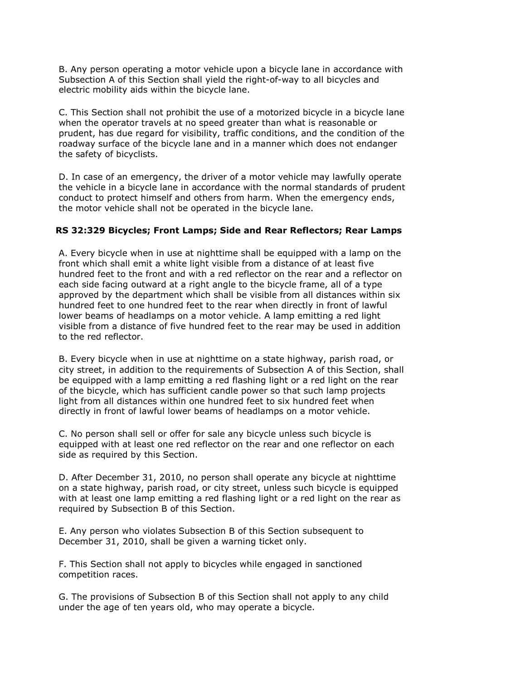B. Any person operating a motor vehicle upon a bicycle lane in accordance with Subsection A of this Section shall yield the right-of-way to all bicycles and electric mobility aids within the bicycle lane.

C. This Section shall not prohibit the use of a motorized bicycle in a bicycle lane when the operator travels at no speed greater than what is reasonable or prudent, has due regard for visibility, traffic conditions, and the condition of the roadway surface of the bicycle lane and in a manner which does not endanger the safety of bicyclists.

D. In case of an emergency, the driver of a motor vehicle may lawfully operate the vehicle in a bicycle lane in accordance with the normal standards of prudent conduct to protect himself and others from harm. When the emergency ends, the motor vehicle shall not be operated in the bicycle lane.

#### RS 32:329 Bicycles; Front Lamps; Side and Rear Reflectors; Rear Lamps

A. Every bicycle when in use at nighttime shall be equipped with a lamp on the front which shall emit a white light visible from a distance of at least five hundred feet to the front and with a red reflector on the rear and a reflector on each side facing outward at a right angle to the bicycle frame, all of a type approved by the department which shall be visible from all distances within six hundred feet to one hundred feet to the rear when directly in front of lawful lower beams of headlamps on a motor vehicle. A lamp emitting a red light visible from a distance of five hundred feet to the rear may be used in addition to the red reflector.

B. Every bicycle when in use at nighttime on a state highway, parish road, or city street, in addition to the requirements of Subsection A of this Section, shall be equipped with a lamp emitting a red flashing light or a red light on the rear of the bicycle, which has sufficient candle power so that such lamp projects light from all distances within one hundred feet to six hundred feet when directly in front of lawful lower beams of headlamps on a motor vehicle.

C. No person shall sell or offer for sale any bicycle unless such bicycle is equipped with at least one red reflector on the rear and one reflector on each side as required by this Section.

D. After December 31, 2010, no person shall operate any bicycle at nighttime on a state highway, parish road, or city street, unless such bicycle is equipped with at least one lamp emitting a red flashing light or a red light on the rear as required by Subsection B of this Section.

E. Any person who violates Subsection B of this Section subsequent to December 31, 2010, shall be given a warning ticket only.

F. This Section shall not apply to bicycles while engaged in sanctioned competition races.

G. The provisions of Subsection B of this Section shall not apply to any child under the age of ten years old, who may operate a bicycle.